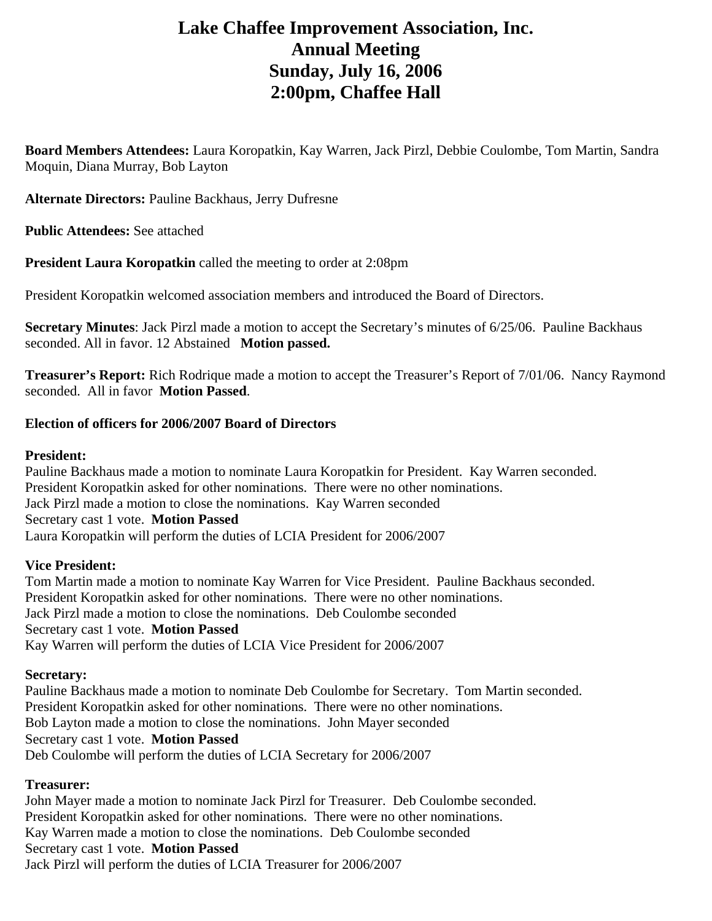# **Lake Chaffee Improvement Association, Inc. Annual Meeting Sunday, July 16, 2006 2:00pm, Chaffee Hall**

**Board Members Attendees:** Laura Koropatkin, Kay Warren, Jack Pirzl, Debbie Coulombe, Tom Martin, Sandra Moquin, Diana Murray, Bob Layton

**Alternate Directors:** Pauline Backhaus, Jerry Dufresne

**Public Attendees:** See attached

**President Laura Koropatkin** called the meeting to order at 2:08pm

President Koropatkin welcomed association members and introduced the Board of Directors.

**Secretary Minutes**: Jack Pirzl made a motion to accept the Secretary's minutes of 6/25/06. Pauline Backhaus seconded. All in favor. 12 Abstained **Motion passed.** 

**Treasurer's Report:** Rich Rodrique made a motion to accept the Treasurer's Report of 7/01/06. Nancy Raymond seconded. All in favor **Motion Passed**.

## **Election of officers for 2006/2007 Board of Directors**

## **President:**

Pauline Backhaus made a motion to nominate Laura Koropatkin for President. Kay Warren seconded. President Koropatkin asked for other nominations. There were no other nominations. Jack Pirzl made a motion to close the nominations. Kay Warren seconded Secretary cast 1 vote. **Motion Passed**  Laura Koropatkin will perform the duties of LCIA President for 2006/2007

# **Vice President:**

Tom Martin made a motion to nominate Kay Warren for Vice President. Pauline Backhaus seconded. President Koropatkin asked for other nominations. There were no other nominations. Jack Pirzl made a motion to close the nominations. Deb Coulombe seconded Secretary cast 1 vote. **Motion Passed**  Kay Warren will perform the duties of LCIA Vice President for 2006/2007

#### **Secretary:**

Pauline Backhaus made a motion to nominate Deb Coulombe for Secretary. Tom Martin seconded. President Koropatkin asked for other nominations. There were no other nominations. Bob Layton made a motion to close the nominations. John Mayer seconded Secretary cast 1 vote. **Motion Passed**  Deb Coulombe will perform the duties of LCIA Secretary for 2006/2007

# **Treasurer:**

John Mayer made a motion to nominate Jack Pirzl for Treasurer. Deb Coulombe seconded. President Koropatkin asked for other nominations. There were no other nominations. Kay Warren made a motion to close the nominations. Deb Coulombe seconded Secretary cast 1 vote. **Motion Passed**  Jack Pirzl will perform the duties of LCIA Treasurer for 2006/2007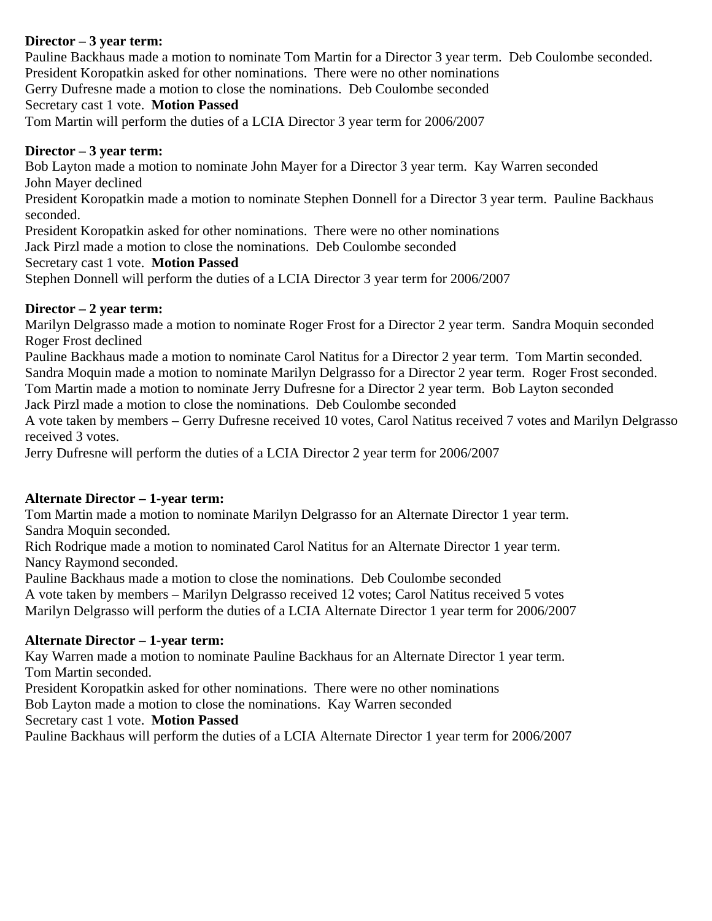# **Director – 3 year term:**

Pauline Backhaus made a motion to nominate Tom Martin for a Director 3 year term. Deb Coulombe seconded. President Koropatkin asked for other nominations. There were no other nominations

Gerry Dufresne made a motion to close the nominations. Deb Coulombe seconded

#### Secretary cast 1 vote. **Motion Passed**

Tom Martin will perform the duties of a LCIA Director 3 year term for 2006/2007

## **Director – 3 year term:**

Bob Layton made a motion to nominate John Mayer for a Director 3 year term. Kay Warren seconded John Mayer declined

President Koropatkin made a motion to nominate Stephen Donnell for a Director 3 year term. Pauline Backhaus seconded.

President Koropatkin asked for other nominations. There were no other nominations

Jack Pirzl made a motion to close the nominations. Deb Coulombe seconded

Secretary cast 1 vote. **Motion Passed** 

Stephen Donnell will perform the duties of a LCIA Director 3 year term for 2006/2007

# **Director – 2 year term:**

Marilyn Delgrasso made a motion to nominate Roger Frost for a Director 2 year term. Sandra Moquin seconded Roger Frost declined

Pauline Backhaus made a motion to nominate Carol Natitus for a Director 2 year term. Tom Martin seconded. Sandra Moquin made a motion to nominate Marilyn Delgrasso for a Director 2 year term. Roger Frost seconded. Tom Martin made a motion to nominate Jerry Dufresne for a Director 2 year term. Bob Layton seconded

Jack Pirzl made a motion to close the nominations. Deb Coulombe seconded

A vote taken by members – Gerry Dufresne received 10 votes, Carol Natitus received 7 votes and Marilyn Delgrasso received 3 votes.

Jerry Dufresne will perform the duties of a LCIA Director 2 year term for 2006/2007

# **Alternate Director – 1-year term:**

Tom Martin made a motion to nominate Marilyn Delgrasso for an Alternate Director 1 year term. Sandra Moquin seconded.

Rich Rodrique made a motion to nominated Carol Natitus for an Alternate Director 1 year term. Nancy Raymond seconded.

Pauline Backhaus made a motion to close the nominations. Deb Coulombe seconded

A vote taken by members – Marilyn Delgrasso received 12 votes; Carol Natitus received 5 votes Marilyn Delgrasso will perform the duties of a LCIA Alternate Director 1 year term for 2006/2007

# **Alternate Director – 1-year term:**

Kay Warren made a motion to nominate Pauline Backhaus for an Alternate Director 1 year term. Tom Martin seconded.

President Koropatkin asked for other nominations. There were no other nominations

Bob Layton made a motion to close the nominations. Kay Warren seconded

Secretary cast 1 vote. **Motion Passed** 

Pauline Backhaus will perform the duties of a LCIA Alternate Director 1 year term for 2006/2007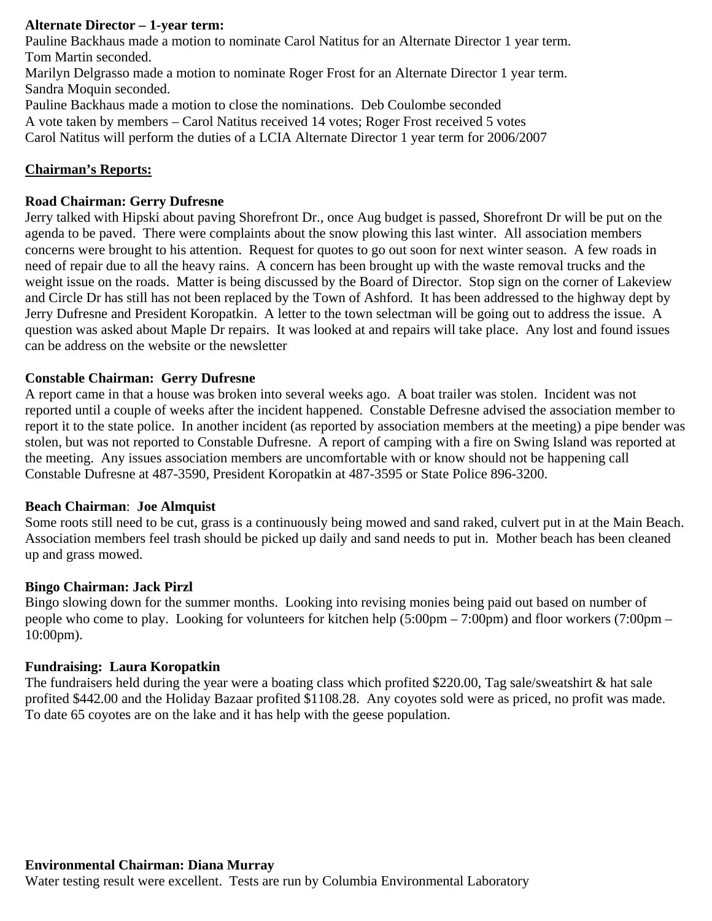# **Alternate Director – 1-year term:**

Pauline Backhaus made a motion to nominate Carol Natitus for an Alternate Director 1 year term. Tom Martin seconded.

Marilyn Delgrasso made a motion to nominate Roger Frost for an Alternate Director 1 year term. Sandra Moquin seconded.

Pauline Backhaus made a motion to close the nominations. Deb Coulombe seconded

A vote taken by members – Carol Natitus received 14 votes; Roger Frost received 5 votes

Carol Natitus will perform the duties of a LCIA Alternate Director 1 year term for 2006/2007

# **Chairman's Reports:**

## **Road Chairman: Gerry Dufresne**

Jerry talked with Hipski about paving Shorefront Dr., once Aug budget is passed, Shorefront Dr will be put on the agenda to be paved. There were complaints about the snow plowing this last winter. All association members concerns were brought to his attention. Request for quotes to go out soon for next winter season. A few roads in need of repair due to all the heavy rains. A concern has been brought up with the waste removal trucks and the weight issue on the roads. Matter is being discussed by the Board of Director. Stop sign on the corner of Lakeview and Circle Dr has still has not been replaced by the Town of Ashford. It has been addressed to the highway dept by Jerry Dufresne and President Koropatkin. A letter to the town selectman will be going out to address the issue. A question was asked about Maple Dr repairs. It was looked at and repairs will take place. Any lost and found issues can be address on the website or the newsletter

#### **Constable Chairman: Gerry Dufresne**

A report came in that a house was broken into several weeks ago. A boat trailer was stolen. Incident was not reported until a couple of weeks after the incident happened. Constable Defresne advised the association member to report it to the state police. In another incident (as reported by association members at the meeting) a pipe bender was stolen, but was not reported to Constable Dufresne. A report of camping with a fire on Swing Island was reported at the meeting. Any issues association members are uncomfortable with or know should not be happening call Constable Dufresne at 487-3590, President Koropatkin at 487-3595 or State Police 896-3200.

#### **Beach Chairman**: **Joe Almquist**

Some roots still need to be cut, grass is a continuously being mowed and sand raked, culvert put in at the Main Beach. Association members feel trash should be picked up daily and sand needs to put in. Mother beach has been cleaned up and grass mowed.

#### **Bingo Chairman: Jack Pirzl**

Bingo slowing down for the summer months. Looking into revising monies being paid out based on number of people who come to play. Looking for volunteers for kitchen help (5:00pm – 7:00pm) and floor workers (7:00pm – 10:00pm).

#### **Fundraising: Laura Koropatkin**

The fundraisers held during the year were a boating class which profited \$220.00, Tag sale/sweatshirt & hat sale profited \$442.00 and the Holiday Bazaar profited \$1108.28. Any coyotes sold were as priced, no profit was made. To date 65 coyotes are on the lake and it has help with the geese population.